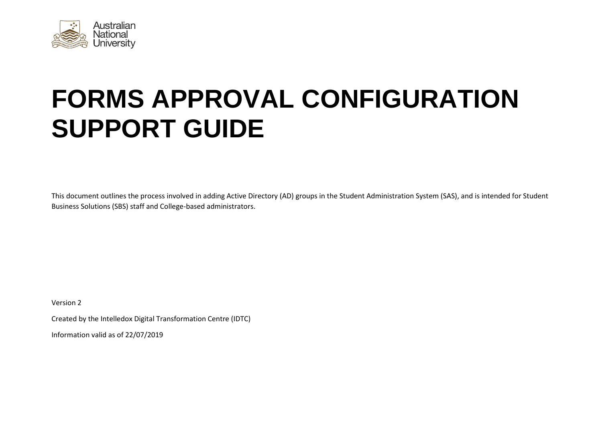

# **FORMS APPROVAL CONFIGURATION SUPPORT GUIDE**

This document outlines the process involved in adding Active Directory (AD) groups in the Student Administration System (SAS), and is intended for Student Business Solutions (SBS) staff and College-based administrators.

Version 2

Created by the Intelledox Digital Transformation Centre (IDTC)

Information valid as of 22/07/2019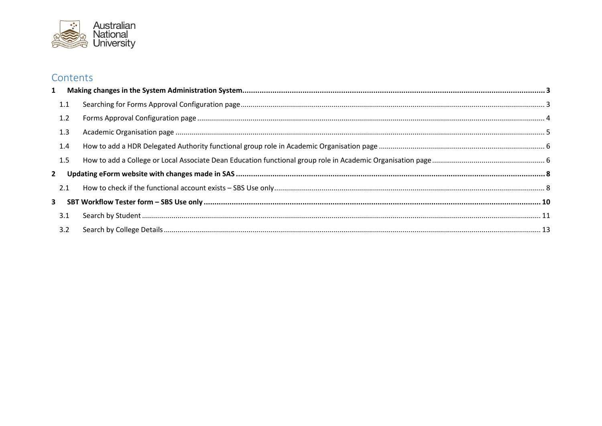

# Contents

| $\mathbf{1}$ |     |  |
|--------------|-----|--|
|              | 1.1 |  |
|              | 1.2 |  |
|              | 1.3 |  |
|              | 1.4 |  |
|              | 1.5 |  |
| $\mathbf{2}$ |     |  |
|              | 2.1 |  |
| $\mathbf{3}$ |     |  |
|              | 3.1 |  |
|              | 3.2 |  |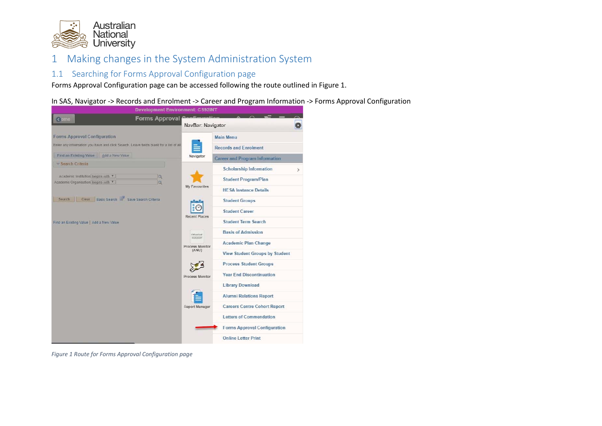

## <span id="page-2-0"></span>1 Making changes in the System Administration System

#### <span id="page-2-1"></span>1.1 Searching for Forms Approval Configuration page

Forms Approval Configuration page can be accessed following the route outlined in Figure 1.

In SAS, Navigator -> Records and Enrolment -> Career and Program Information -> Forms Approval Configuration



*Figure 1 Route for Forms Approval Configuration page*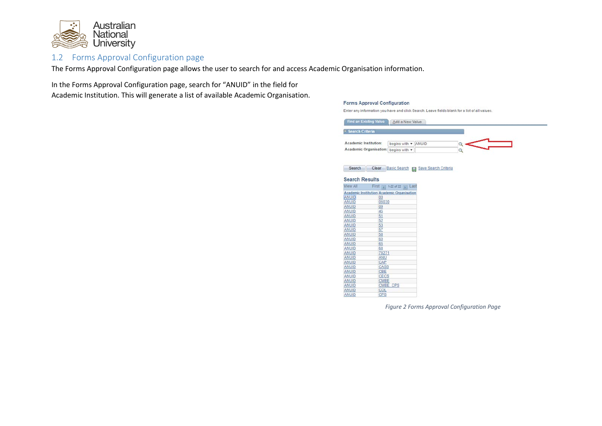

#### <span id="page-3-0"></span>1.2 Forms Approval Configuration page

The Forms Approval Configuration page allows the user to search for and access Academic Organisation information.

In the Forms Approval Configuration page, search for "ANUID" in the field for Academic Institution. This will generate a list of available Academic Organisation.

#### **Forms Approval Configuration**

Enter any information you have and click Search. Leave fields blank for a list of all values.

| - Search Criteria                 |                                                         |                                   |          |  |
|-----------------------------------|---------------------------------------------------------|-----------------------------------|----------|--|
|                                   |                                                         |                                   |          |  |
| <b>Academic Institution:</b>      |                                                         | begins with v ANUID               |          |  |
|                                   | Academic Organisation: begins with v                    |                                   | $\alpha$ |  |
|                                   |                                                         |                                   |          |  |
| Search                            | Clear                                                   | Basic Search Save Search Criteria |          |  |
| <b>Search Results</b><br>View All | First 22 of 22 12 Last                                  |                                   |          |  |
|                                   |                                                         |                                   |          |  |
| <b>ANUID</b>                      | <b>Academic Institution Academic Organisation</b><br>00 |                                   |          |  |
| ANUID                             | 06030                                                   |                                   |          |  |
| <b>ANUID</b>                      | 09                                                      |                                   |          |  |
| <b>ANUID</b>                      | 45                                                      |                                   |          |  |
| <b>ANUID</b>                      |                                                         |                                   |          |  |
| <b>ANUID</b>                      | $rac{51}{52}$                                           |                                   |          |  |
| <b>ANUID</b>                      | 53                                                      |                                   |          |  |
| <b>ANUID</b>                      | 57                                                      |                                   |          |  |
| <b>ANUID</b>                      | 58                                                      |                                   |          |  |
| <b>ANUID</b>                      | 60                                                      |                                   |          |  |
| <b>ANUID</b>                      | 65                                                      |                                   |          |  |
| <b>ANUID</b>                      | 68                                                      |                                   |          |  |
| <b>ANUID</b>                      | 78271                                                   |                                   |          |  |
| <b>ANUID</b>                      | ANU                                                     |                                   |          |  |
| <b>ANUID</b>                      | CAP                                                     |                                   |          |  |
| <b>ANUID</b>                      | CASS                                                    |                                   |          |  |
| <b>ANUID</b>                      | CBE                                                     |                                   |          |  |
| <b>ANUID</b>                      | CECS                                                    |                                   |          |  |
| <b>ANUID</b>                      | CMBE                                                    |                                   |          |  |
| <b>ANUID</b>                      | <b>CMBE CPS</b>                                         |                                   |          |  |
| <b>ANUID</b>                      | COL                                                     |                                   |          |  |
| <b>ANUID</b>                      | CPS                                                     |                                   |          |  |

*Figure 2 Forms Approval Configuration Page*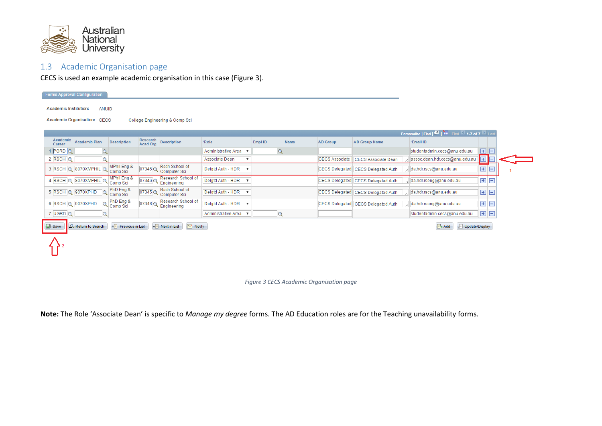

#### <span id="page-4-0"></span>1.3 Academic Organisation page

CECS is used an example academic organisation in this case [\(Figure 3\)](#page-4-1).

| <b>Forms Approval Configuration</b>                                                                                  |                                                              |                                |                                    |                                |                         |
|----------------------------------------------------------------------------------------------------------------------|--------------------------------------------------------------|--------------------------------|------------------------------------|--------------------------------|-------------------------|
| <b>Academic Institution:</b><br><b>ANUID</b>                                                                         |                                                              |                                |                                    |                                |                         |
| Academic Organisation: CECS<br>College Engineering & Comp Sci                                                        |                                                              |                                |                                    |                                |                         |
|                                                                                                                      |                                                              |                                |                                    |                                |                         |
| Academic<br>Career<br>Research<br>Acad Org<br><b>Academic Plan</b><br><b>Description</b><br><b>Description</b>       | Empl ID<br>*Role                                             | <b>Name</b><br><b>AD Group</b> | <b>AD Group Name</b>               | *Email ID                      |                         |
| 1 $PGRD$ $Q$<br>Q                                                                                                    | Administrative Area<br>$\alpha$<br>$\boldsymbol{\mathrm{v}}$ |                                |                                    | studentadmin.cecs@anu.edu.au   | 国<br>E                  |
| $2$ <b>RSCHQ</b><br>Q                                                                                                | Associate Dean                                               | <b>CECS Associate</b>          | CECS Associate Dean                | assoc.dean.hdr.cecs@anu.edu.au | E<br>$\overline{ }$     |
| MPhil Eng &<br>Comp Sci<br>Rsch School of<br>3 RSCH Q 8070XMPHIL<br>$07345$ <sup>Q</sup><br>$\alpha$<br>Computer Sci | Delgtd Auth - HDR                                            |                                | CECS Delegated CECS Delegated Auth | da.hdr.rscs@anu.edu.au         | $\blacksquare$<br>$\pm$ |
| MPhil Eng &<br>Research School of<br>07346<br>4 RSCH Q 8070XMPHIL Q<br>Engineering<br>Comp Sci                       | Delgtd Auth - HDR                                            |                                | CECS Delegated CECS Delegated Auth | da.hdr.rseng@anu.edu.au        | 8 E                     |
| PhD Eng &<br>Rsch School of<br>07345Q<br>5 $ RSCH Q $ 9070XPHD<br>Comp Sci<br>Computer Sci                           | Delgtd Auth - HDR                                            |                                | CECS Delegated CECS Delegated Auth | da.hdr.rscs@anu.edu.au         | 田口                      |
| PhD Eng &<br>Research School of<br>6 $RSCH$ 9070XPHD<br>07346Q<br>Engineering<br>Comp Sci                            | Delgtd Auth - HDR                                            |                                | CECS Delegated CECS Delegated Auth | da.hdr.rseng@anu.edu.au        | H E                     |
| 7 UGRD Q<br>Q                                                                                                        | Q<br><b>Administrative Area</b><br>$\overline{\mathbf{v}}$   |                                |                                    | studentadmin.cecs@anu.edu.au   | 8 E                     |
| ↑ Previous in List<br>↓ Next in List<br><b>日</b> Save<br>$\equiv$ Notify<br>Return to Search                         |                                                              |                                |                                    | $E_+$ Add<br>Update/Display    |                         |
|                                                                                                                      |                                                              |                                |                                    |                                |                         |
|                                                                                                                      |                                                              |                                |                                    |                                |                         |

*Figure 3 CECS Academic Organisation page*

<span id="page-4-1"></span>**Note:** The Role 'Associate Dean' is specific to *Manage my degree* forms. The AD Education roles are for the Teaching unavailability forms.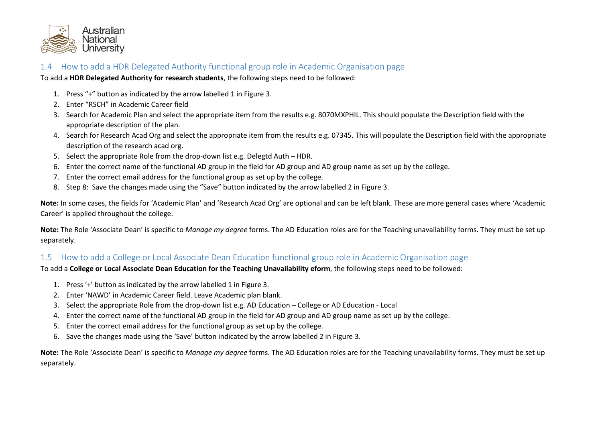

#### <span id="page-5-0"></span>1.4 How to add a HDR Delegated Authority functional group role in Academic Organisation page

#### To add a **HDR Delegated Authority for research students**, the following steps need to be followed:

- 1. Press "+" button as indicated by the arrow labelled 1 in [Figure 3.](#page-4-1)
- 2. Enter "RSCH" in Academic Career field
- 3. Search for Academic Plan and select the appropriate item from the results e.g. 8070MXPHIL. This should populate the Description field with the appropriate description of the plan.
- 4. Search for Research Acad Org and select the appropriate item from the results e.g. 07345. This will populate the Description field with the appropriate description of the research acad org.
- 5. Select the appropriate Role from the drop-down list e.g. Delegtd Auth HDR.
- 6. Enter the correct name of the functional AD group in the field for AD group and AD group name as set up by the college.
- 7. Enter the correct email address for the functional group as set up by the college.
- 8. Step 8: Save the changes made using the "Save" button indicated by the arrow labelled 2 in [Figure 3.](#page-4-1)

**Note:** In some cases, the fields for 'Academic Plan' and 'Research Acad Org' are optional and can be left blank. These are more general cases where 'Academic Career' is applied throughout the college.

**Note:** The Role 'Associate Dean' is specific to *Manage my degree* forms. The AD Education roles are for the Teaching unavailability forms. They must be set up separately.

#### <span id="page-5-1"></span>1.5 How to add a College or Local Associate Dean Education functional group role in Academic Organisation page

#### To add a **College or Local Associate Dean Education for the Teaching Unavailability eform**, the following steps need to be followed:

- 1. Press '+' button as indicated by the arrow labelled 1 in Figure 3.
- 2. Enter 'NAWD' in Academic Career field. Leave Academic plan blank.
- 3. Select the appropriate Role from the drop-down list e.g. AD Education College or AD Education Local
- 4. Enter the correct name of the functional AD group in the field for AD group and AD group name as set up by the college.
- 5. Enter the correct email address for the functional group as set up by the college.
- 6. Save the changes made using the 'Save' button indicated by the arrow labelled 2 in Figure 3.

**Note:** The Role 'Associate Dean' is specific to *Manage my degree* forms. The AD Education roles are for the Teaching unavailability forms. They must be set up separately.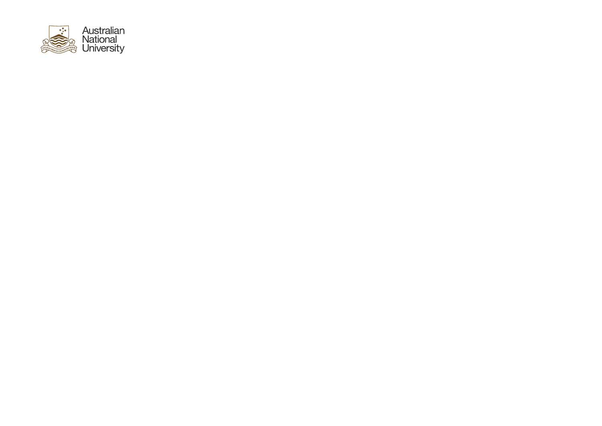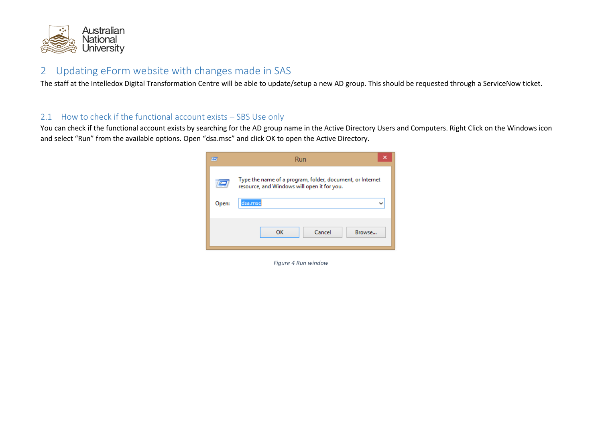

### <span id="page-7-0"></span>2 Updating eForm website with changes made in SAS

The staff at the Intelledox Digital Transformation Centre will be able to update/setup a new AD group. This should be requested through a ServiceNow ticket.

#### <span id="page-7-1"></span>2.1 How to check if the functional account exists – SBS Use only

You can check if the functional account exists by searching for the AD group name in the Active Directory Users and Computers. Right Click on the Windows icon and select "Run" from the available options. Open "dsa.msc" and click OK to open the Active Directory.

| 画     | ×<br>Run                                                                                                 |
|-------|----------------------------------------------------------------------------------------------------------|
|       | Type the name of a program, folder, document, or Internet<br>resource, and Windows will open it for you. |
| Open: | dsa.msc<br>ш                                                                                             |
|       | Cancel<br>Browse<br>OK                                                                                   |

*Figure 4 Run window*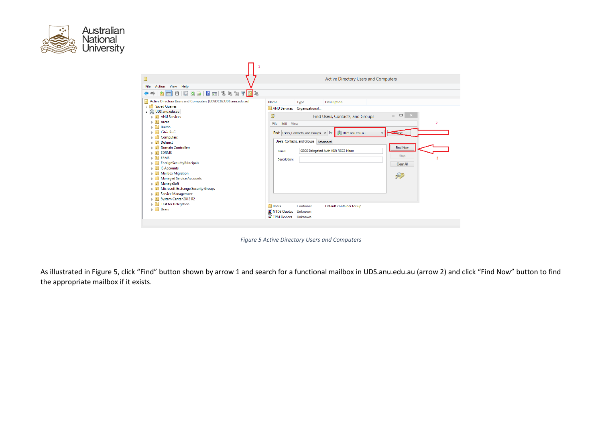

| Ξ                                                                                                                                                                                                                                                                                                                                                                                                                                                                                                                                                                                                                                                                                                                                   | <b>Active Directory Users and Computers</b>                                                                                                                                                                                                                                                                                                                                                                                               |
|-------------------------------------------------------------------------------------------------------------------------------------------------------------------------------------------------------------------------------------------------------------------------------------------------------------------------------------------------------------------------------------------------------------------------------------------------------------------------------------------------------------------------------------------------------------------------------------------------------------------------------------------------------------------------------------------------------------------------------------|-------------------------------------------------------------------------------------------------------------------------------------------------------------------------------------------------------------------------------------------------------------------------------------------------------------------------------------------------------------------------------------------------------------------------------------------|
| Action View Help<br><b>File</b>                                                                                                                                                                                                                                                                                                                                                                                                                                                                                                                                                                                                                                                                                                     |                                                                                                                                                                                                                                                                                                                                                                                                                                           |
| 忽留<br><b>YE</b> &<br>B<br>Ů<br>画<br>$\mathbf{Q}$<br>$\sqrt{2}$<br>$\Rightarrow$<br>$\overline{\mathbf{E}}$<br>$\overline{\mathbb{R}^2}$                                                                                                                                                                                                                                                                                                                                                                                                                                                                                                                                                                                             |                                                                                                                                                                                                                                                                                                                                                                                                                                           |
| Active Directory Users and Computers [UDSDC02.UDS.anu.edu.au]<br>F<br><b>Saved Queries</b><br>$\triangleright$<br>July 1999 UDS.anu.edu.au<br><b>ANU Services</b><br>$\triangleright$ $\blacksquare$<br>Areas<br>Gĩ<br><b>Builtin</b><br><b>Citrix PoC</b><br>GT.<br>Computers<br>Defunct<br>ьĒ<br><b>Domain Controllers</b><br>Ħ<br><b>EDRMS</b><br>6ř<br><b>ERMS</b><br>$\triangleright$ $\blacksquare$<br><b>ForeignSecurityPrincipals</b><br><b>IS Accounts</b><br>$\triangleright$ $\mathbb{E}$<br><b>Mailbox Migration</b><br>$\triangleright$ $\Box$<br><b>Managed Service Accounts</b><br>ManageSoft<br>ď<br>Microsoft Exchange Security Groups<br>$\triangleright$ $\Box$<br>Service Management<br>$\triangleright$ $\Box$ | Name<br><b>Description</b><br>Type<br><b>D</b> ANU Services Organizational<br>50<br>□<br>$\overline{\phantom{0}}$<br>Find Users, Contacts, and Groups<br>$\overline{2}$<br>Edit View<br><b>File</b><br>  前 UDS.anu.edu.au<br>Find: Users, Contacts, and Groups v In:<br><b>CHANNEL</b><br>Users, Contacts, and Groups Advanced<br><b>Find Now</b><br>CECS Delegated Auth HDR RSCS Mbox<br>Name:<br>Stop<br>З<br>Description:<br>Clear All |
| System Center 2012 R2<br>$\triangleright$ $\overline{\mathbf{a}}$<br><b>Test for Delegation</b><br>$\triangleright$ $\blacksquare$<br><b>D</b> Users                                                                                                                                                                                                                                                                                                                                                                                                                                                                                                                                                                                | Container<br><b>Users</b><br>Default container for up<br>國 NTDS Quotas Unknown<br><b>同 TPM Devices</b> Unknown                                                                                                                                                                                                                                                                                                                            |

*Figure 5 Active Directory Users and Computers*

<span id="page-8-0"></span>As illustrated i[n Figure 5,](#page-8-0) click "Find" button shown by arrow 1 and search for a functional mailbox in UDS.anu.edu.au (arrow 2) and click "Find Now" button to find the appropriate mailbox if it exists.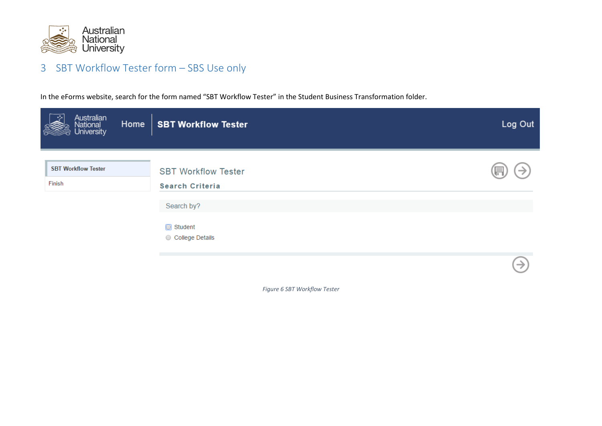

# <span id="page-9-0"></span>3 SBT Workflow Tester form – SBS Use only

In the eForms website, search for the form named "SBT Workflow Tester" in the Student Business Transformation folder.

| Australian<br>National<br>University<br><b>Home</b> | <b>SBT Workflow Tester</b>                           | Log Out |
|-----------------------------------------------------|------------------------------------------------------|---------|
| <b>SBT Workflow Tester</b><br>Finish                | <b>SBT Workflow Tester</b><br><b>Search Criteria</b> | →       |
|                                                     | Search by?                                           |         |
|                                                     | Student<br>○ College Details                         |         |
|                                                     |                                                      | ⇁       |

*Figure 6 SBT Workflow Tester*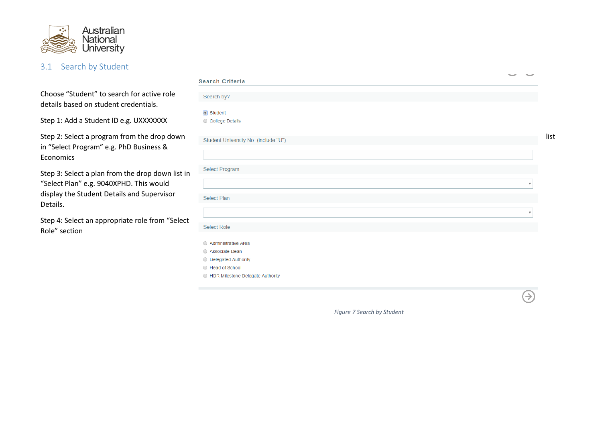

#### <span id="page-10-0"></span>3.1 Search by Student

|                                                                                                     | <b>Search Criteria</b>                  |  |      |
|-----------------------------------------------------------------------------------------------------|-----------------------------------------|--|------|
| Choose "Student" to search for active role                                                          | Search by?                              |  |      |
| details based on student credentials.                                                               |                                         |  |      |
| Step 1: Add a Student ID e.g. UXXXXXXX                                                              | <b>O</b> Student<br>◯ College Details   |  |      |
| Step 2: Select a program from the drop down<br>in "Select Program" e.g. PhD Business &<br>Economics | Student University No. (include "U")    |  | list |
| Step 3: Select a plan from the drop down list in                                                    | <b>Select Program</b>                   |  |      |
| "Select Plan" e.g. 9040XPHD. This would                                                             |                                         |  |      |
| display the Student Details and Supervisor<br>Details.                                              | <b>Select Plan</b>                      |  |      |
| Step 4: Select an appropriate role from "Select<br>Role" section                                    | <b>Select Role</b>                      |  |      |
|                                                                                                     | ◯ Administrative Area<br>Associate Dean |  |      |
|                                                                                                     | ◯ Delegated Authority                   |  |      |
|                                                                                                     | Head of School                          |  |      |
|                                                                                                     | ◯ HDR Milestone Delegate Authority      |  |      |
|                                                                                                     |                                         |  |      |

*Figure 7 Search by Student*

 $\odot$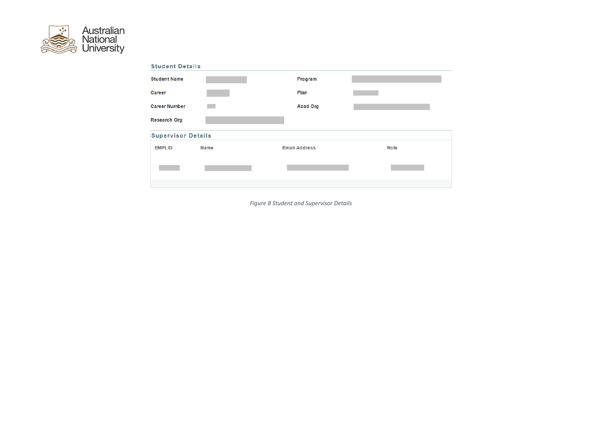

| <b>Student Details</b>    |             |                      |      |  |  |  |  |
|---------------------------|-------------|----------------------|------|--|--|--|--|
| <b>Student Name</b>       |             | Program              |      |  |  |  |  |
| Career                    |             | Plan                 |      |  |  |  |  |
| <b>Career Number</b>      |             | <b>Acad Org</b>      |      |  |  |  |  |
| <b>Research Org</b>       |             |                      |      |  |  |  |  |
| <b>Supervisor Details</b> |             |                      |      |  |  |  |  |
| <b>EMPLID</b>             | <b>Name</b> | <b>Email Address</b> | Role |  |  |  |  |
|                           |             |                      |      |  |  |  |  |
|                           |             |                      |      |  |  |  |  |

*Figure 8 Student and Supervisor Details*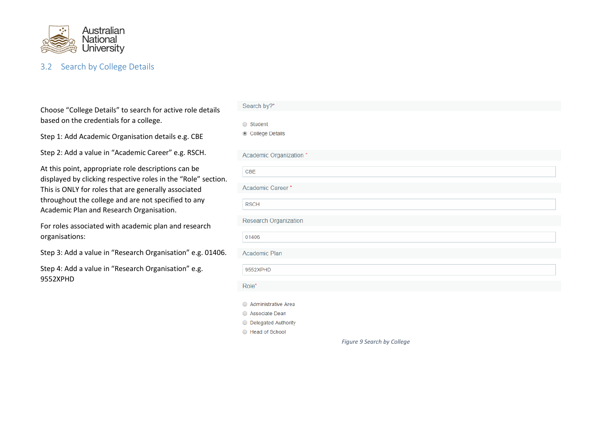

#### <span id="page-12-0"></span>3.2 Search by College Details

Choose "College Details" to search for active role details based on the credentials for a college.

Step 1: Add Academic Organisation details e.g. CBE

Step 2: Add a value in "Academic Career" e.g. RSCH.

At this point, appropriate role descriptions can be displayed by clicking respective roles in the "Role" section. This is ONLY for roles that are generally associated throughout the college and are not specified to any Academic Plan and Research Organisation.

For roles associated with academic plan and research organisations:

Step 3: Add a value in "Research Organisation" e.g. 01406.

Step 4: Add a value in "Research Organisation" e.g. 9552XPHD

#### Search by?\*

 $\circ$  Student

College Details

Academic Organization \*

| CBE                          |  |  |
|------------------------------|--|--|
| Academic Career*             |  |  |
| <b>RSCH</b>                  |  |  |
| <b>Research Organization</b> |  |  |
| 01406                        |  |  |
| Academic Plan                |  |  |
| 9552XPHD                     |  |  |
| Role*                        |  |  |
|                              |  |  |

- Administrative Area
- Associate Dean
- ◯ Delegated Authority
- ◯ Head of School

*Figure 9 Search by College*